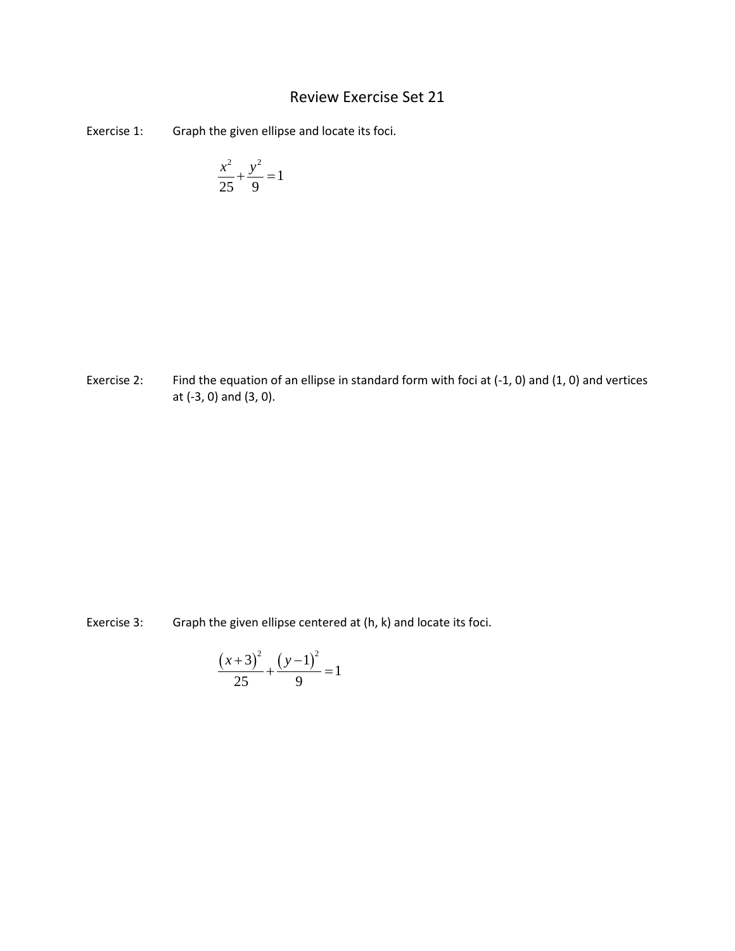## Review Exercise Set 21

Exercise 1: Graph the given ellipse and locate its foci.

$$
\frac{x^2}{25} + \frac{y^2}{9} = 1
$$

Exercise 2: Find the equation of an ellipse in standard form with foci at (-1, 0) and (1, 0) and vertices at (-3, 0) and (3, 0).

Exercise 3: Graph the given ellipse centered at (h, k) and locate its foci.

$$
\frac{(x+3)^2}{25} + \frac{(y-1)^2}{9} = 1
$$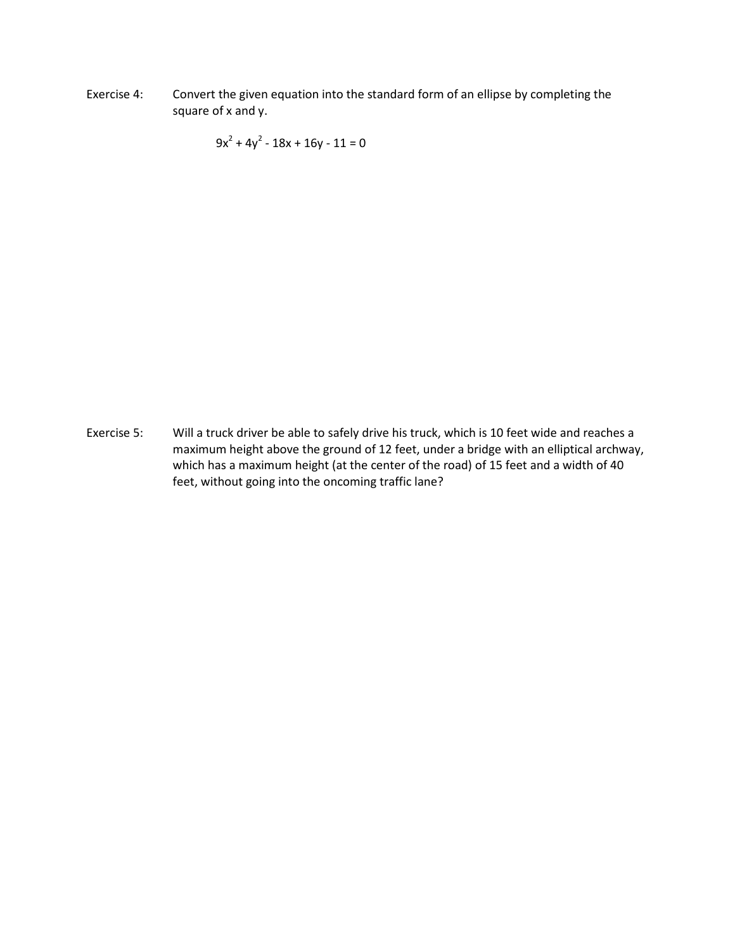Exercise 4: Convert the given equation into the standard form of an ellipse by completing the square of x and y.

 $9x^{2} + 4y^{2} - 18x + 16y - 11 = 0$ 

Exercise 5: Will a truck driver be able to safely drive his truck, which is 10 feet wide and reaches a maximum height above the ground of 12 feet, under a bridge with an elliptical archway, which has a maximum height (at the center of the road) of 15 feet and a width of 40 feet, without going into the oncoming traffic lane?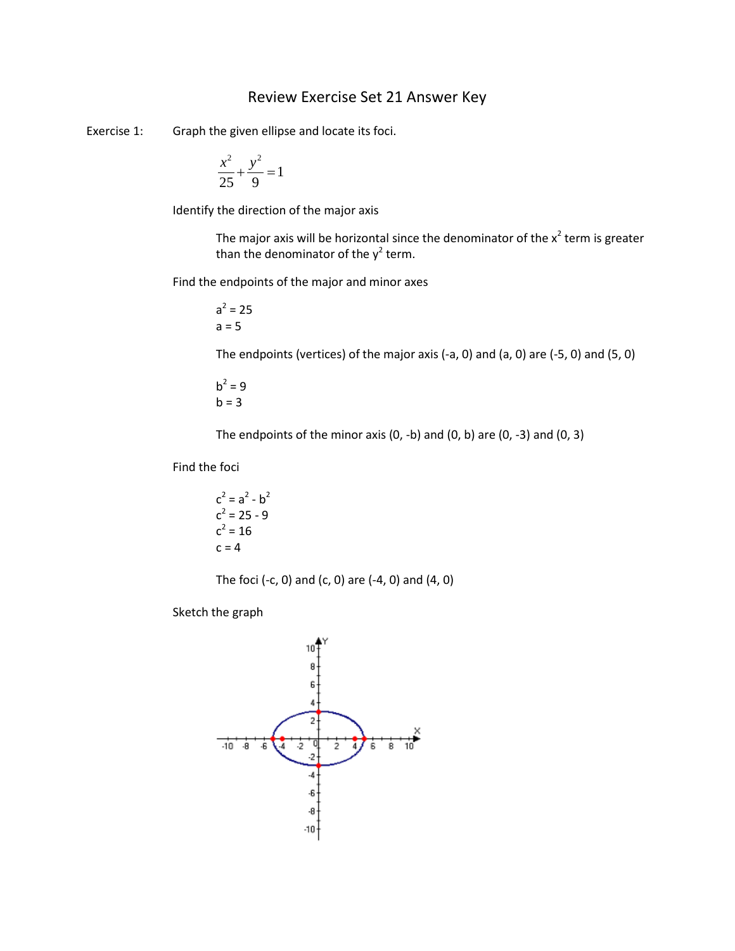## Review Exercise Set 21 Answer Key

Exercise 1: Graph the given ellipse and locate its foci.

$$
\frac{x^2}{25} + \frac{y^2}{9} = 1
$$

Identify the direction of the major axis

The major axis will be horizontal since the denominator of the  $x^2$  term is greater than the denominator of the  $y^2$  term.

Find the endpoints of the major and minor axes

 $a^2 = 25$  $a = 5$ 

The endpoints (vertices) of the major axis (-a, 0) and (a, 0) are (-5, 0) and (5, 0)

$$
b^2 = 9
$$
  

$$
b = 3
$$

The endpoints of the minor axis  $(0, -b)$  and  $(0, b)$  are  $(0, -3)$  and  $(0, 3)$ 

Find the foci

$$
c2 = a2 - b2
$$
  

$$
c2 = 25 - 9
$$
  

$$
c2 = 16
$$
  

$$
c = 4
$$

The foci (-c, 0) and (c, 0) are  $(-4, 0)$  and  $(4, 0)$ 

Sketch the graph

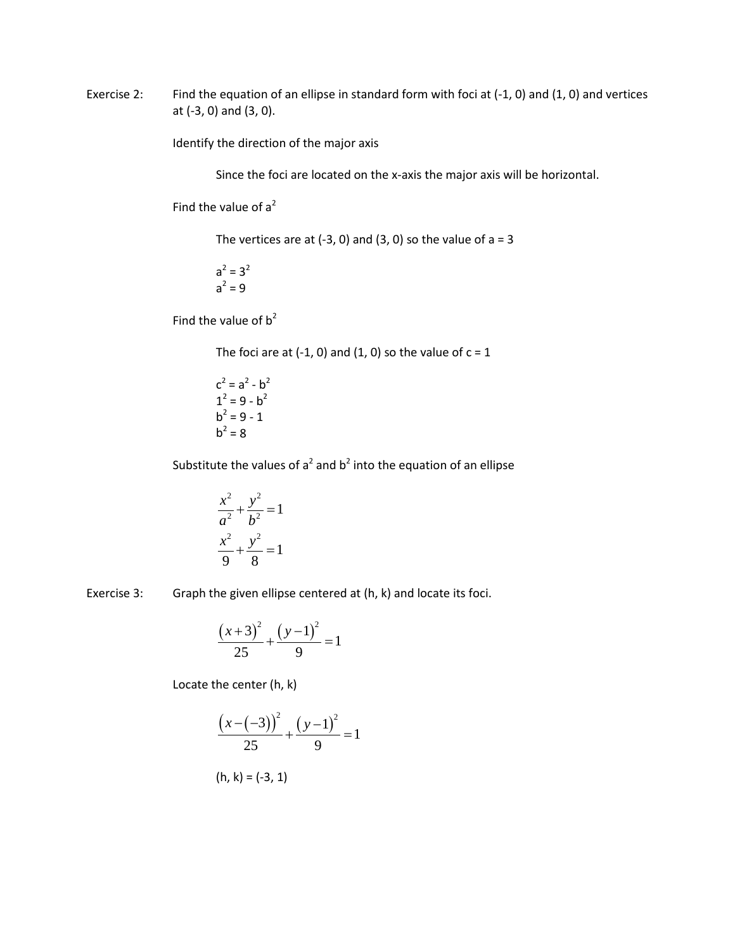Exercise 2: Find the equation of an ellipse in standard form with foci at (-1, 0) and (1, 0) and vertices at (-3, 0) and (3, 0).

Identify the direction of the major axis

Since the foci are located on the x-axis the major axis will be horizontal.

Find the value of  $a^2$ 

The vertices are at  $(-3, 0)$  and  $(3, 0)$  so the value of a = 3

 $a^2 = 3^2$  $a^2 = 9$ 

Find the value of  $b^2$ 

The foci are at  $(-1, 0)$  and  $(1, 0)$  so the value of  $c = 1$ 

 $c^2 = a^2 - b^2$  $1^2 = 9 - b^2$  $b^2 = 9 - 1$  $b^2 = 8$ 

Substitute the values of  $a^2$  and  $b^2$  into the equation of an ellipse

$$
\frac{x^2}{a^2} + \frac{y^2}{b^2} = 1
$$

$$
\frac{x^2}{9} + \frac{y^2}{8} = 1
$$

Exercise 3: Graph the given ellipse centered at (h, k) and locate its foci.

$$
\frac{(x+3)^2}{25} + \frac{(y-1)^2}{9} = 1
$$

Locate the center (h, k)

$$
\frac{(x-(-3))^{2}}{25} + \frac{(y-1)^{2}}{9} = 1
$$

$$
(h, k) = (-3, 1)
$$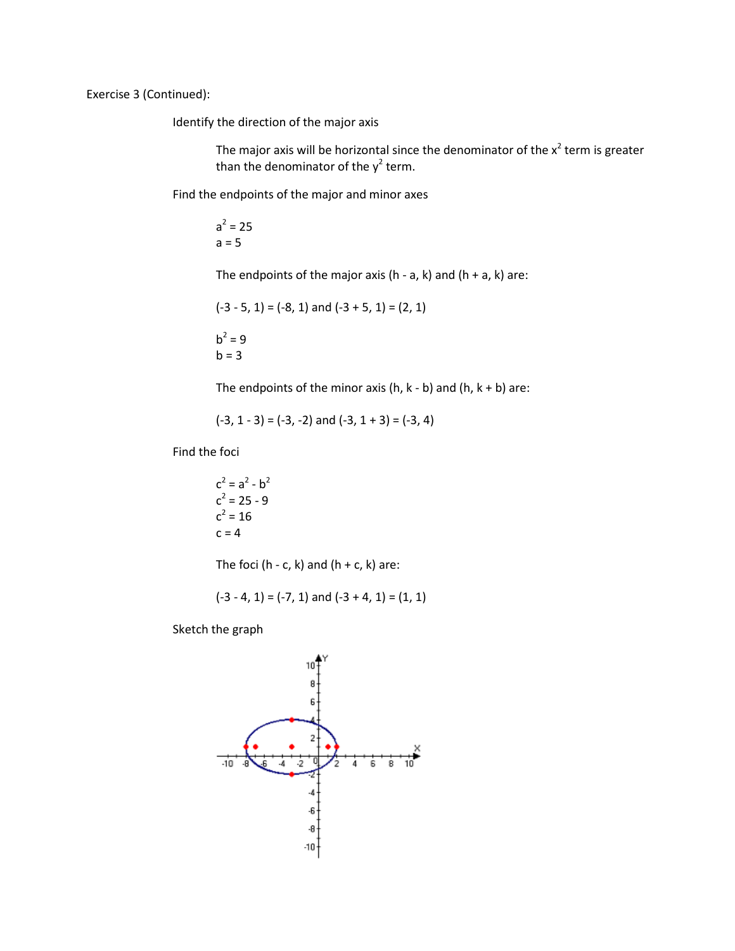Exercise 3 (Continued):

Identify the direction of the major axis

The major axis will be horizontal since the denominator of the  $x^2$  term is greater than the denominator of the  $y^2$  term.

Find the endpoints of the major and minor axes

 $a^2 = 25$  $a = 5$ 

The endpoints of the major axis (h - a, k) and (h + a, k) are:

$$
(-3 - 5, 1) = (-8, 1)
$$
 and  $(-3 + 5, 1) = (2, 1)$ 

$$
b^2 = 9
$$
  

$$
b = 3
$$

The endpoints of the minor axis (h,  $k - b$ ) and (h,  $k + b$ ) are:

 $(-3, 1 - 3) = (-3, -2)$  and  $(-3, 1 + 3) = (-3, 4)$ 

Find the foci

 $c^2 = a^2 - b^2$  $c^2 = 25 - 9$  $c^2 = 16$  $c = 4$ 

The foci (h - c, k) and (h + c, k) are:

$$
(-3 - 4, 1) = (-7, 1)
$$
 and  $(-3 + 4, 1) = (1, 1)$ 

Sketch the graph

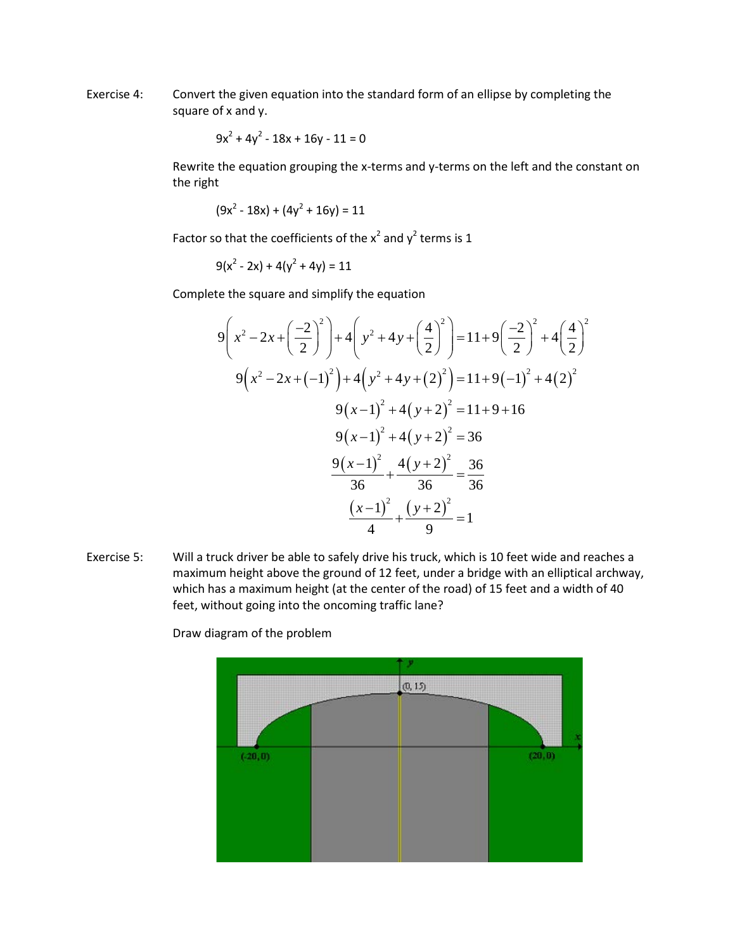Exercise 4: Convert the given equation into the standard form of an ellipse by completing the square of x and y.

$$
9x^2 + 4y^2 - 18x + 16y - 11 = 0
$$

Rewrite the equation grouping the x-terms and y-terms on the left and the constant on the right

$$
(9x2 - 18x) + (4y2 + 16y) = 11
$$

Factor so that the coefficients of the  $x^2$  and  $y^2$  terms is 1

 $9(x^2 - 2x) + 4(y^2 + 4y) = 11$ 

Complete the square and simplify the equation

$$
9\left(x^2 - 2x + \left(\frac{-2}{2}\right)^2\right) + 4\left(y^2 + 4y + \left(\frac{4}{2}\right)^2\right) = 11 + 9\left(\frac{-2}{2}\right)^2 + 4\left(\frac{4}{2}\right)^2
$$
  

$$
9\left(x^2 - 2x + (-1)^2\right) + 4\left(y^2 + 4y + (2)^2\right) = 11 + 9(-1)^2 + 4(2)^2
$$
  

$$
9\left(x - 1\right)^2 + 4\left(y + 2\right)^2 = 11 + 9 + 16
$$
  

$$
9\left(x - 1\right)^2 + 4\left(y + 2\right)^2 = 36
$$
  

$$
\frac{9\left(x - 1\right)^2}{36} + \frac{4\left(y + 2\right)^2}{36} = \frac{36}{36}
$$
  

$$
\frac{\left(x - 1\right)^2}{4} + \frac{\left(y + 2\right)^2}{9} = 1
$$

Exercise 5: Will a truck driver be able to safely drive his truck, which is 10 feet wide and reaches a maximum height above the ground of 12 feet, under a bridge with an elliptical archway, which has a maximum height (at the center of the road) of 15 feet and a width of 40 feet, without going into the oncoming traffic lane?



Draw diagram of the problem